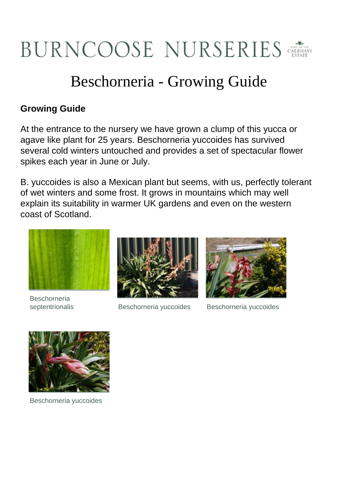## BURNCOOSE NURSERIES

## Beschorneria - Growing Guide

## **Growing Guide**

At the entrance to the nursery we have grown a clump of this yucca or agave like plant for 25 years. Beschorneria yuccoides has survived several cold winters untouched and provides a set of spectacular flower spikes each year in June or July.

B. yuccoides is also a Mexican plant but seems, with us, perfectly tolerant of wet winters and some frost. It grows in mountains which may well explain its suitability in warmer UK gardens and even on the western coast of Scotland.



**Beschorneria** 



septentrionalis Beschorneria yuccoides Beschorneria yuccoides





Beschorneria yuccoides